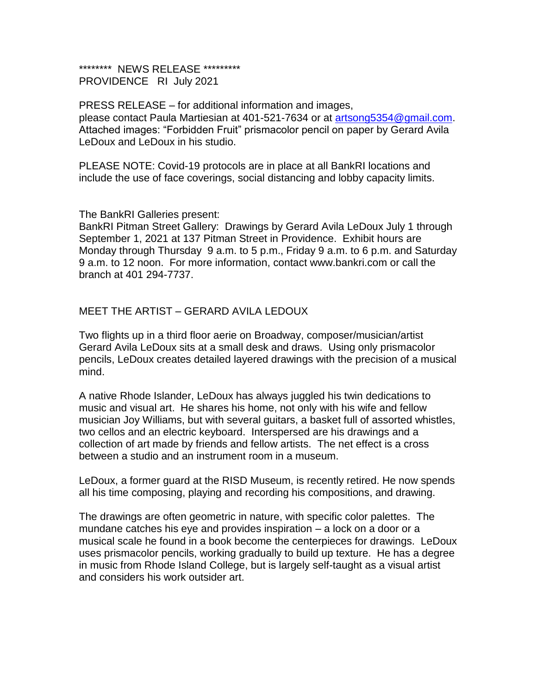## \*\*\*\*\*\*\*\*\* NEWS RELEASE \*\*\*\*\*\*\*\*\* PROVIDENCE RI July 2021

PRESS RELEASE – for additional information and images, please contact Paula Martiesian at 401-521-7634 or at artsong5354@gmail.com. Attached images: "Forbidden Fruit" prismacolor pencil on paper by Gerard Avila LeDoux and LeDoux in his studio.

PLEASE NOTE: Covid-19 protocols are in place at all BankRI locations and include the use of face coverings, social distancing and lobby capacity limits.

## The BankRI Galleries present:

BankRI Pitman Street Gallery: Drawings by Gerard Avila LeDoux July 1 through September 1, 2021 at 137 Pitman Street in Providence. Exhibit hours are Monday through Thursday 9 a.m. to 5 p.m., Friday 9 a.m. to 6 p.m. and Saturday 9 a.m. to 12 noon. For more information, contact www.bankri.com or call the branch at 401 294-7737.

## MEET THE ARTIST – GERARD AVILA LEDOUX

Two flights up in a third floor aerie on Broadway, composer/musician/artist Gerard Avila LeDoux sits at a small desk and draws. Using only prismacolor pencils, LeDoux creates detailed layered drawings with the precision of a musical mind.

A native Rhode Islander, LeDoux has always juggled his twin dedications to music and visual art. He shares his home, not only with his wife and fellow musician Joy Williams, but with several guitars, a basket full of assorted whistles, two cellos and an electric keyboard. Interspersed are his drawings and a collection of art made by friends and fellow artists. The net effect is a cross between a studio and an instrument room in a museum.

LeDoux, a former guard at the RISD Museum, is recently retired. He now spends all his time composing, playing and recording his compositions, and drawing.

The drawings are often geometric in nature, with specific color palettes. The mundane catches his eye and provides inspiration – a lock on a door or a musical scale he found in a book become the centerpieces for drawings. LeDoux uses prismacolor pencils, working gradually to build up texture. He has a degree in music from Rhode Island College, but is largely self-taught as a visual artist and considers his work outsider art.